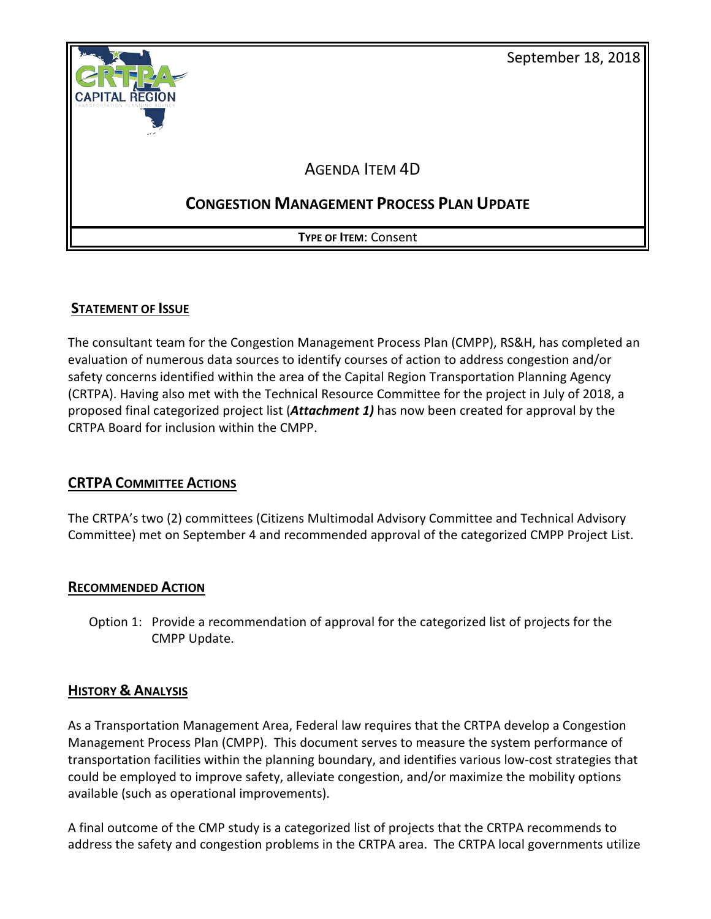

# **STATEMENT OF ISSUE**

The consultant team for the Congestion Management Process Plan (CMPP), RS&H, has completed an evaluation of numerous data sources to identify courses of action to address congestion and/or safety concerns identified within the area of the Capital Region Transportation Planning Agency (CRTPA). Having also met with the Technical Resource Committee for the project in July of 2018, a proposed final categorized project list (*Attachment 1)* has now been created for approval by the CRTPA Board for inclusion within the CMPP.

# **CRTPA COMMITTEE ACTIONS**

The CRTPA's two (2) committees (Citizens Multimodal Advisory Committee and Technical Advisory Committee) met on September 4 and recommended approval of the categorized CMPP Project List.

# **RECOMMENDED ACTION**

Option 1: Provide a recommendation of approval for the categorized list of projects for the CMPP Update.

# **HISTORY & ANALYSIS**

As a Transportation Management Area, Federal law requires that the CRTPA develop a Congestion Management Process Plan (CMPP). This document serves to measure the system performance of transportation facilities within the planning boundary, and identifies various low-cost strategies that could be employed to improve safety, alleviate congestion, and/or maximize the mobility options available (such as operational improvements).

A final outcome of the CMP study is a categorized list of projects that the CRTPA recommends to address the safety and congestion problems in the CRTPA area. The CRTPA local governments utilize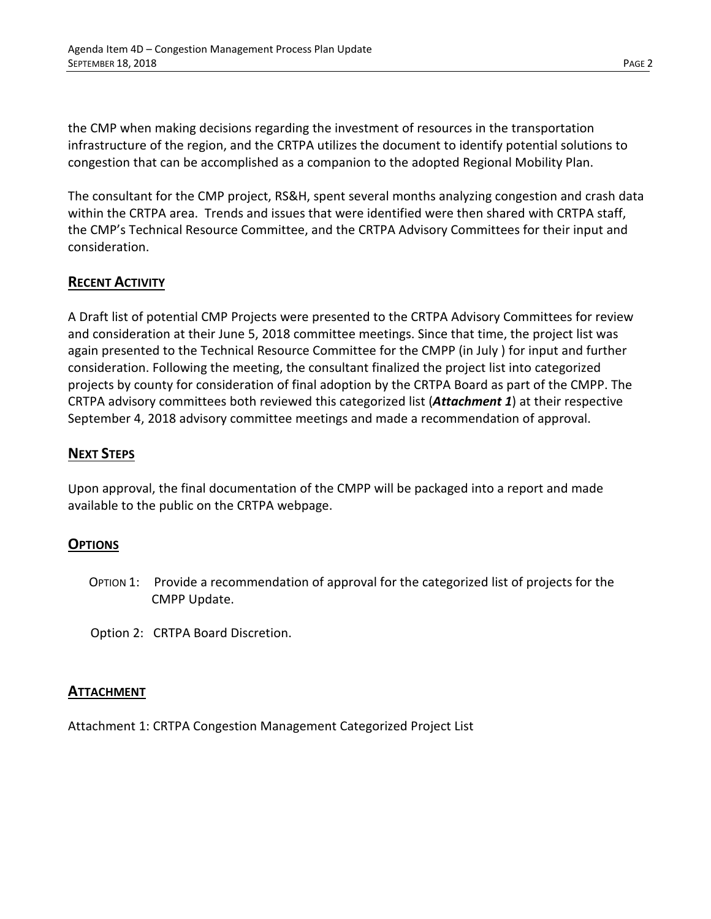the CMP when making decisions regarding the investment of resources in the transportation infrastructure of the region, and the CRTPA utilizes the document to identify potential solutions to congestion that can be accomplished as a companion to the adopted Regional Mobility Plan.

The consultant for the CMP project, RS&H, spent several months analyzing congestion and crash data within the CRTPA area. Trends and issues that were identified were then shared with CRTPA staff, the CMP's Technical Resource Committee, and the CRTPA Advisory Committees for their input and consideration.

# **RECENT ACTIVITY**

A Draft list of potential CMP Projects were presented to the CRTPA Advisory Committees for review and consideration at their June 5, 2018 committee meetings. Since that time, the project list was again presented to the Technical Resource Committee for the CMPP (in July ) for input and further consideration. Following the meeting, the consultant finalized the project list into categorized projects by county for consideration of final adoption by the CRTPA Board as part of the CMPP. The CRTPA advisory committees both reviewed this categorized list (*Attachment 1*) at their respective September 4, 2018 advisory committee meetings and made a recommendation of approval.

# **NEXT STEPS**

Upon approval, the final documentation of the CMPP will be packaged into a report and made available to the public on the CRTPA webpage.

# **OPTIONS**

- OPTION 1: Provide a recommendation of approval for the categorized list of projects for the CMPP Update.
- Option 2: CRTPA Board Discretion.

# **ATTACHMENT**

Attachment 1: CRTPA Congestion Management Categorized Project List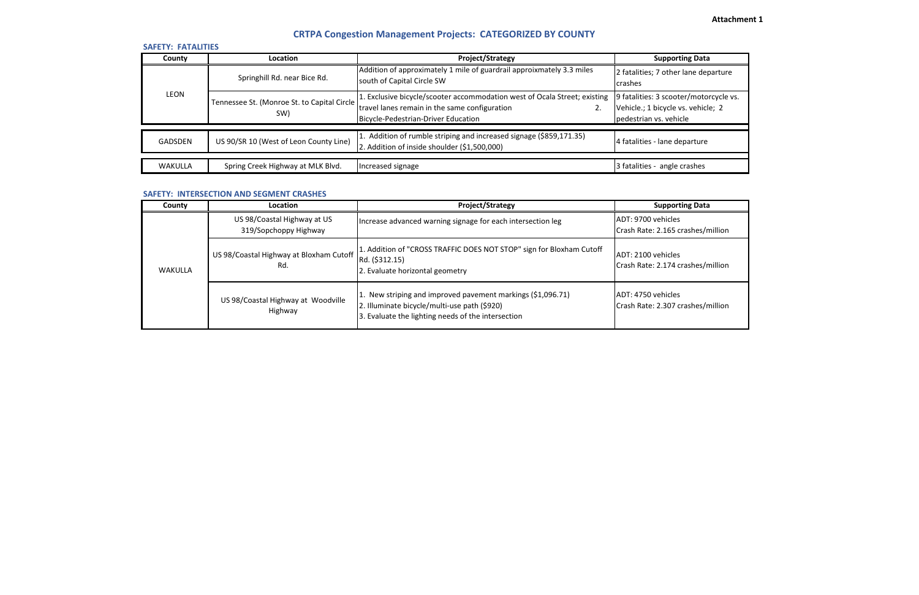| <b>SAFETY: FATALITIES</b> |                                                    |                                                                                                                                                                         |                                                                                            |
|---------------------------|----------------------------------------------------|-------------------------------------------------------------------------------------------------------------------------------------------------------------------------|--------------------------------------------------------------------------------------------|
| County                    | <b>Location</b>                                    | Project/Strategy                                                                                                                                                        | <b>Supporting Data</b>                                                                     |
| <b>LEON</b>               | Springhill Rd. near Bice Rd.                       | Addition of approximately 1 mile of guardrail approixmately 3.3 miles<br>south of Capital Circle SW                                                                     | 2 fatalities; 7 other lane dep<br>crashes                                                  |
|                           | Tennessee St. (Monroe St. to Capital Circle<br>SW) | 1. Exclusive bicycle/scooter accommodation west of Ocala Street; existing<br>travel lanes remain in the same configuration<br>2.<br>Bicycle-Pedestrian-Driver Education | 9 fatalities: 3 scooter/motor<br>Vehicle.; 1 bicycle vs. vehicle<br>pedestrian vs. vehicle |
| <b>GADSDEN</b>            | US 90/SR 10 (West of Leon County Line)             | 1. Addition of rumble striping and increased signage (\$859,171.35)<br>2. Addition of inside shoulder (\$1,500,000)                                                     | 4 fatalities - lane departure                                                              |
| WAKULLA                   | Spring Creek Highway at MLK Blvd.                  | Increased signage                                                                                                                                                       | 3 fatalities - angle crashes                                                               |

| County  | <b>Location</b>                                      | <b>Project/Strategy</b>                                                                                                                                           | <b>Supporting Data</b>                             |
|---------|------------------------------------------------------|-------------------------------------------------------------------------------------------------------------------------------------------------------------------|----------------------------------------------------|
| WAKULLA | US 98/Coastal Highway at US<br>319/Sopchoppy Highway | Increase advanced warning signage for each intersection leg                                                                                                       | ADT: 9700 vehicles<br>Crash Rate: 2.165 crashes/n  |
|         | US 98/Coastal Highway at Bloxham Cutoff<br>Rd.       | 1. Addition of "CROSS TRAFFIC DOES NOT STOP" sign for Bloxham Cutoff<br>Rd. (\$312.15)<br>2. Evaluate horizontal geometry                                         | IADT: 2100 vehicles<br>Crash Rate: 2.174 crashes/n |
|         | US 98/Coastal Highway at Woodville<br>Highway        | 1. New striping and improved pavement markings (\$1,096.71)<br>2. Illuminate bicycle/multi-use path (\$920)<br>3. Evaluate the lighting needs of the intersection | ADT: 4750 vehicles<br>Crash Rate: 2.307 crashes/n  |

# **CRTPA Congestion Management Projects: CATEGORIZED BY COUNTY**

# **SAFETY: INTERSECTION AND SEGMENT CRASHES**

# **Attachment 1**

er lane departure

oter/motorcycle vs. vs. vehicle; 2

 $c$  crashes/million

crashes/million

' crashes/million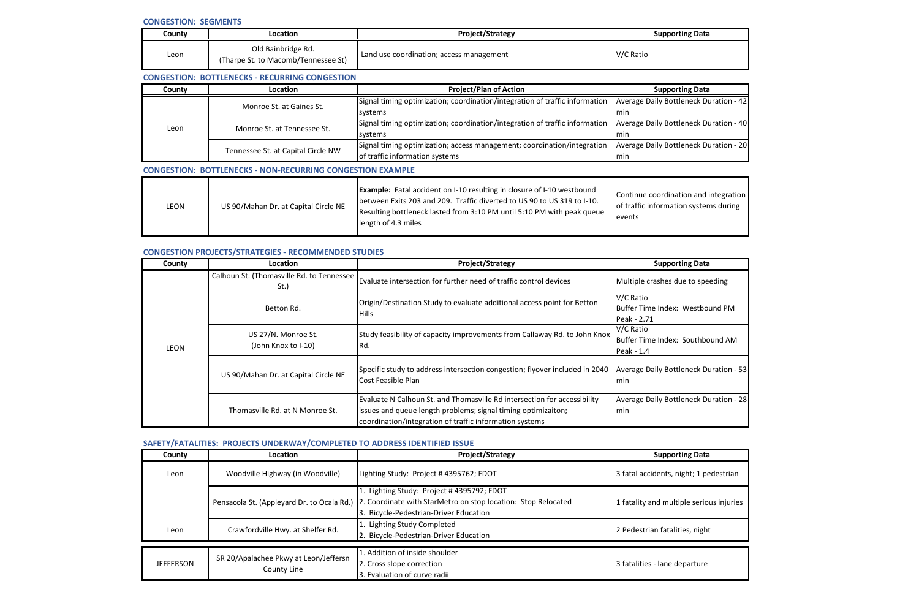| Countv | Location                                                  | <b>Project/Strategy</b>                  | <b>Supporting Data</b> |
|--------|-----------------------------------------------------------|------------------------------------------|------------------------|
| Leon   | Old Bainbridge Rd.<br>(Tharpe St. to Macomb/Tennessee St) | Land use coordination; access management | V/C Ratio              |

### **CONGESTION PROJECTS/STRATEGIES - RECOMMENDED STUDIES**

| County | Location                           | <b>Project/Plan of Action</b>                                               | <b>Supporting Data</b>             |
|--------|------------------------------------|-----------------------------------------------------------------------------|------------------------------------|
| Leon   | Monroe St. at Gaines St.           | Signal timing optimization; coordination/integration of traffic information | <b>Average Daily Bottleneck Du</b> |
|        |                                    | systems                                                                     | Imin                               |
|        | Monroe St. at Tennessee St.        | Signal timing optimization; coordination/integration of traffic information | <b>Average Daily Bottleneck Du</b> |
|        |                                    | systems                                                                     | lmin                               |
|        | Tennessee St. at Capital Circle NW | Signal timing optimization; access management; coordination/integration     | <b>Average Daily Bottleneck Du</b> |
|        |                                    | of traffic information systems                                              | lmin.                              |
|        |                                    |                                                                             |                                    |

| LEON | US 90/Mahan Dr. at Capital Circle NE | <b>Example:</b> Fatal accident on I-10 resulting in closure of I-10 westbound<br>between Exits 203 and 209. Traffic diverted to US 90 to US 319 to I-10.<br>Resulting bottleneck lasted from 3:10 PM until 5:10 PM with peak queue<br>length of 4.3 miles | Continue coordin<br>lof traffic informat<br><b>levents</b> |
|------|--------------------------------------|-----------------------------------------------------------------------------------------------------------------------------------------------------------------------------------------------------------------------------------------------------------|------------------------------------------------------------|
|------|--------------------------------------|-----------------------------------------------------------------------------------------------------------------------------------------------------------------------------------------------------------------------------------------------------------|------------------------------------------------------------|

| County      | Location                                             | <b>Project/Strategy</b>                                                                                                                                                                              | <b>Supporting Data</b>                                     |
|-------------|------------------------------------------------------|------------------------------------------------------------------------------------------------------------------------------------------------------------------------------------------------------|------------------------------------------------------------|
| <b>LEON</b> | Calhoun St. (Thomasville Rd. to Tennessee<br>$St.$ ) | Evaluate intersection for further need of traffic control devices                                                                                                                                    | Multiple crashes due to speeding                           |
|             | Betton Rd.                                           | Origin/Destination Study to evaluate additional access point for Betton<br><b>Hills</b>                                                                                                              | V/C Ratio<br>Buffer Time Index: Westbound P<br>Peak - 2.71 |
|             | US 27/N. Monroe St.<br>(John Knox to I-10)           | Study feasibility of capacity improvements from Callaway Rd. to John Knox<br>Rd.                                                                                                                     | V/C Ratio<br>Buffer Time Index: Southbound /<br>Peak - 1.4 |
|             | US 90/Mahan Dr. at Capital Circle NE                 | Specific study to address intersection congestion; flyover included in 2040<br>Cost Feasible Plan                                                                                                    | Average Daily Bottleneck Duratio<br>lmin.                  |
|             | Thomasville Rd. at N Monroe St.                      | Evaluate N Calhoun St. and Thomasville Rd intersection for accessibility<br>issues and queue length problems; signal timing optimizaiton;<br>coordination/integration of traffic information systems | <b>Average Daily Bottleneck Duratio</b><br>min             |

## **SAFETY/FATALITIES: PROJECTS UNDERWAY/COMPLETED TO ADDRESS IDENTIFIED ISSUE**

| County           | Location                                   | <b>Project/Strategy</b>                                       | <b>Supporting Data</b>         |
|------------------|--------------------------------------------|---------------------------------------------------------------|--------------------------------|
| Leon             | Woodville Highway (in Woodville)           | Lighting Study: Project #4395762; FDOT                        | 3 fatal accidents, night; 1 pe |
|                  |                                            | 1. Lighting Study: Project #4395792; FDOT                     |                                |
|                  | Pensacola St. (Appleyard Dr. to Ocala Rd.) | 2. Coordinate with StarMetro on stop location: Stop Relocated | 1 fatality and multiple serior |
|                  |                                            | 3. Bicycle-Pedestrian-Driver Education                        |                                |
| Leon             | Crawfordville Hwy. at Shelfer Rd.          | 1. Lighting Study Completed                                   | 2 Pedestrian fatalities, night |
|                  |                                            | 2. Bicycle-Pedestrian-Driver Education                        |                                |
|                  |                                            | 1. Addition of inside shoulder                                |                                |
| <b>JEFFERSON</b> | SR 20/Apalachee Pkwy at Leon/Jeffersn      | 2. Cross slope correction                                     | 3 fatalities - lane departure  |
|                  | County Line                                | 3. Evaluation of curve radii                                  |                                |
|                  |                                            |                                                               |                                |

ttleneck Duration - 42

ottleneck Duration - 40

Autleneck Duration - 20

nation and integration ation systems during

x: Westbound PM

x: Southbound AM

ttleneck Duration - 53

ttleneck Duration - 28

, night; 1 pedestrian

Itiple serious injuries

### **CONGESTION: SEGMENTS**

### **CONGESTION: BOTTLENECKS - RECURRING CONGESTION**

### **CONGESTION: BOTTLENECKS - NON-RECURRING CONGESTION EXAMPLE**